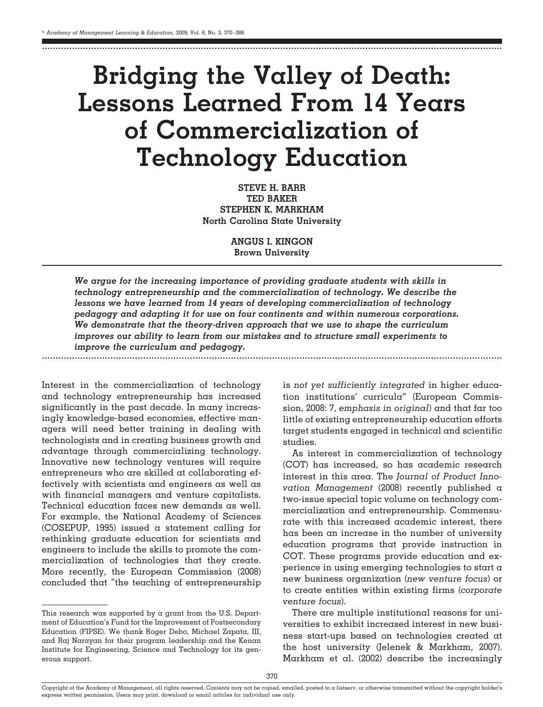........................................................................................................................................................................

# **Bridging the Valley of Death: Lessons Learned From 14 Years of Commercialization of Technology Education**

**STEVE H. BARR TED BAKER STEPHEN K. MARKHAM North Carolina State University**

> **ANGUS I. KINGON Brown University**

*We argue for the increasing importance of providing graduate students with skills in technology entrepreneurship and the commercialization of technology. We describe the lessons we have learned from 14 years of developing commercialization of technology pedagogy and adapting it for use on four continents and within numerous corporations. We demonstrate that the theory-driven approach that we use to shape the curriculum improves our ability to learn from our mistakes and to structure small experiments to improve the curriculum and pedagogy.*

Interest in the commercialization of technology and technology entrepreneurship has increased significantly in the past decade. In many increasingly knowledge-based economies, effective managers will need better training in dealing with technologists and in creating business growth and advantage through commercializing technology. Innovative new technology ventures will require entrepreneurs who are skilled at collaborating effectively with scientists and engineers as well as with financial managers and venture capitalists. Technical education faces new demands as well. For example, the National Academy of Sciences (COSEPUP, 1995) issued a statement calling for rethinking graduate education for scientists and engineers to include the skills to promote the commercialization of technologies that they create. More recently, the European Commission (2008) concluded that "the teaching of entrepreneurship

........................................................................................................................................................................

This research was supported by a grant from the U.S. Department of Education's Fund for the Improvement of Postsecondary Education (FIPSE). We thank Roger Debo, Michael Zapata, III, and Raj Narayan for their program leadership and the Kenan Institute for Engineering, Science and Technology for its generous support.

is *not yet sufficiently integrated* in higher education institutions' curricula" (European Commission, 2008: 7, *emphasis in original*) and that far too little of existing entrepreneurship education efforts target students engaged in technical and scientific studies.

As interest in commercialization of technology (COT) has increased, so has academic research interest in this area. The *Journal of Product Innovation Management* (2008) recently published a two-issue special topic volume on technology commercialization and entrepreneurship. Commensurate with this increased academic interest, there has been an increase in the number of university education programs that provide instruction in COT. These programs provide education and experience in using emerging technologies to start a new business organization (*new venture focus*) or to create entities within existing firms (*corporate venture focus*).

There are multiple institutional reasons for universities to exhibit increased interest in new business start-ups based on technologies created at the host university (Jelenek & Markham, 2007). Markham et al. (2002) describe the increasingly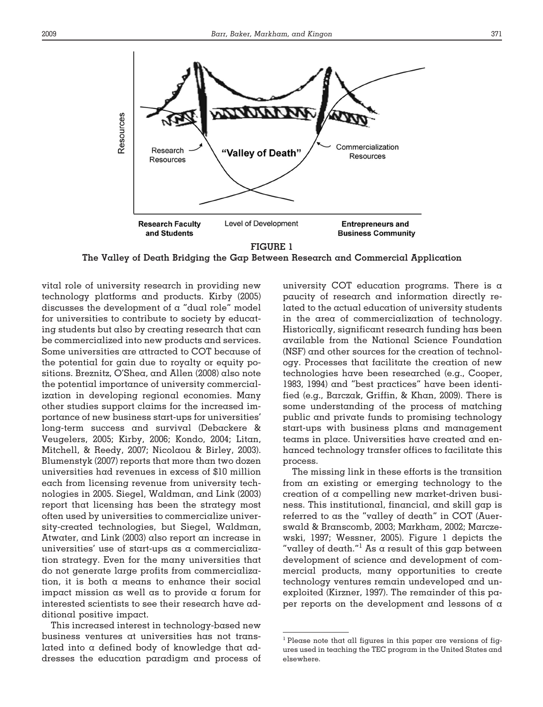



**The Valley of Death Bridging the Gap Between Research and Commercial Application**

vital role of university research in providing new technology platforms and products. Kirby (2005) discusses the development of a "dual role" model for universities to contribute to society by educating students but also by creating research that can be commercialized into new products and services. Some universities are attracted to COT because of the potential for gain due to royalty or equity positions. Breznitz, O'Shea, and Allen (2008) also note the potential importance of university commercialization in developing regional economies. Many other studies support claims for the increased importance of new business start-ups for universities' long-term success and survival (Debackere & Veugelers, 2005; Kirby, 2006; Kondo, 2004; Litan, Mitchell, & Reedy, 2007; Nicolaou & Birley, 2003). Blumenstyk (2007) reports that more than two dozen universities had revenues in excess of \$10 million each from licensing revenue from university technologies in 2005. Siegel, Waldman, and Link (2003) report that licensing has been the strategy most often used by universities to commercialize university-created technologies, but Siegel, Waldman, Atwater, and Link (2003) also report an increase in universities' use of start-ups as a commercialization strategy. Even for the many universities that do not generate large profits from commercialization, it is both a means to enhance their social impact mission as well as to provide a forum for interested scientists to see their research have additional positive impact.

This increased interest in technology-based new business ventures at universities has not translated into a defined body of knowledge that addresses the education paradigm and process of university COT education programs. There is  $\alpha$ paucity of research and information directly related to the actual education of university students in the area of commercialization of technology. Historically, significant research funding has been available from the National Science Foundation (NSF) and other sources for the creation of technology. Processes that facilitate the creation of new technologies have been researched (e.g., Cooper, 1983, 1994) and "best practices" have been identified (e.g., Barczak, Griffin, & Khan, 2009). There is some understanding of the process of matching public and private funds to promising technology start-ups with business plans and management teams in place. Universities have created and enhanced technology transfer offices to facilitate this process.

The missing link in these efforts is the transition from an existing or emerging technology to the creation of a compelling new market-driven business. This institutional, financial, and skill gap is referred to as the "valley of death" in COT (Auerswald & Branscomb, 2003; Markham, 2002; Marczewski, 1997; Wessner, 2005). Figure 1 depicts the "valley of death."<sup>1</sup> As a result of this gap between development of science and development of commercial products, many opportunities to create technology ventures remain undeveloped and unexploited (Kirzner, 1997). The remainder of this paper reports on the development and lessons of a

 $<sup>1</sup>$  Please note that all figures in this paper are versions of fig-</sup> ures used in teaching the TEC program in the United States and elsewhere.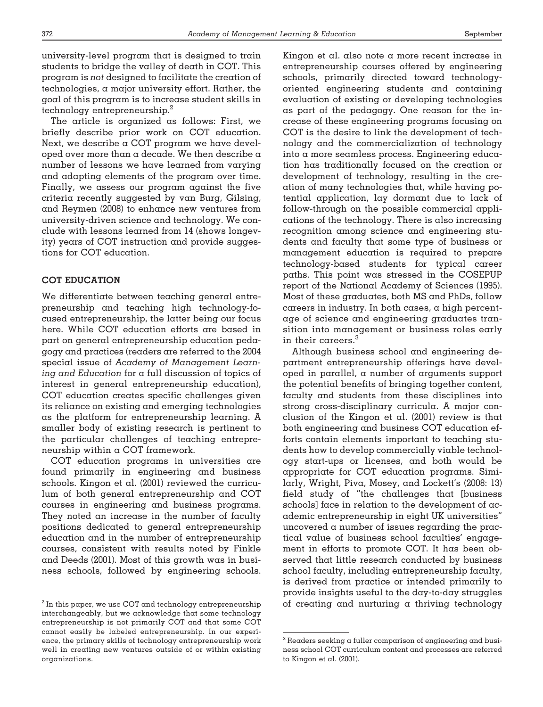university-level program that is designed to train students to bridge the valley of death in COT. This program is *not* designed to facilitate the creation of technologies, a major university effort. Rather, the goal of this program is to increase student skills in technology entrepreneurship.<sup>2</sup>

The article is organized as follows: First, we briefly describe prior work on COT education. Next, we describe a COT program we have developed over more than a decade. We then describe a number of lessons we have learned from varying and adapting elements of the program over time. Finally, we assess our program against the five criteria recently suggested by van Burg, Gilsing, and Reymen (2008) to enhance new ventures from university-driven science and technology. We conclude with lessons learned from 14 (shows longevity) years of COT instruction and provide suggestions for COT education.

# **COT EDUCATION**

We differentiate between teaching general entrepreneurship and teaching high technology-focused entrepreneurship, the latter being our focus here. While COT education efforts are based in part on general entrepreneurship education pedagogy and practices (readers are referred to the 2004 special issue of *Academy of Management Learning and Education* for a full discussion of topics of interest in general entrepreneurship education), COT education creates specific challenges given its reliance on existing and emerging technologies as the platform for entrepreneurship learning. A smaller body of existing research is pertinent to the particular challenges of teaching entrepreneurship within  $\alpha$  COT framework.

COT education programs in universities are found primarily in engineering and business schools. Kingon et al. (2001) reviewed the curriculum of both general entrepreneurship and COT courses in engineering and business programs. They noted an increase in the number of faculty positions dedicated to general entrepreneurship education and in the number of entrepreneurship courses, consistent with results noted by Finkle and Deeds (2001). Most of this growth was in business schools, followed by engineering schools.

Kingon et al. also note a more recent increase in entrepreneurship courses offered by engineering schools, primarily directed toward technologyoriented engineering students and containing evaluation of existing or developing technologies as part of the pedagogy. One reason for the increase of these engineering programs focusing on COT is the desire to link the development of technology and the commercialization of technology into a more seamless process. Engineering education has traditionally focused on the creation or development of technology, resulting in the creation of many technologies that, while having potential application, lay dormant due to lack of follow-through on the possible commercial applications of the technology. There is also increasing recognition among science and engineering students and faculty that some type of business or management education is required to prepare technology-based students for typical career paths. This point was stressed in the COSEPUP report of the National Academy of Sciences (1995). Most of these graduates, both MS and PhDs, follow careers in industry. In both cases, a high percentage of science and engineering graduates transition into management or business roles early in their careers.<sup>3</sup>

Although business school and engineering department entrepreneurship offerings have developed in parallel, a number of arguments support the potential benefits of bringing together content, faculty and students from these disciplines into strong cross-disciplinary curricula. A major conclusion of the Kingon et al. (2001) review is that both engineering and business COT education efforts contain elements important to teaching students how to develop commercially viable technology start-ups or licenses, and both would be appropriate for COT education programs. Similarly, Wright, Piva, Mosey, and Lockett's (2008: 13) field study of "the challenges that [business schools] face in relation to the development of academic entrepreneurship in eight UK universities" uncovered a number of issues regarding the practical value of business school faculties' engagement in efforts to promote COT. It has been observed that little research conducted by business school faculty, including entrepreneurship faculty, is derived from practice or intended primarily to provide insights useful to the day-to-day struggles  $^{\rm 2}$  In this paper, we use COT and technology entrepreneurship  $\qquad$  of  $\,$  creating  $\,$  and  $\,$  nurturing  $\,$  a  $\,$  thriving  $\,$  technology  $\,$ 

interchangeably, but we acknowledge that some technology entrepreneurship is not primarily COT and that some COT cannot easily be labeled entrepreneurship. In our experience, the primary skills of technology entrepreneurship work well in creating new ventures outside of or within existing organizations.

 $3$  Readers seeking a fuller comparison of engineering and business school COT curriculum content and processes are referred to Kingon et al. (2001).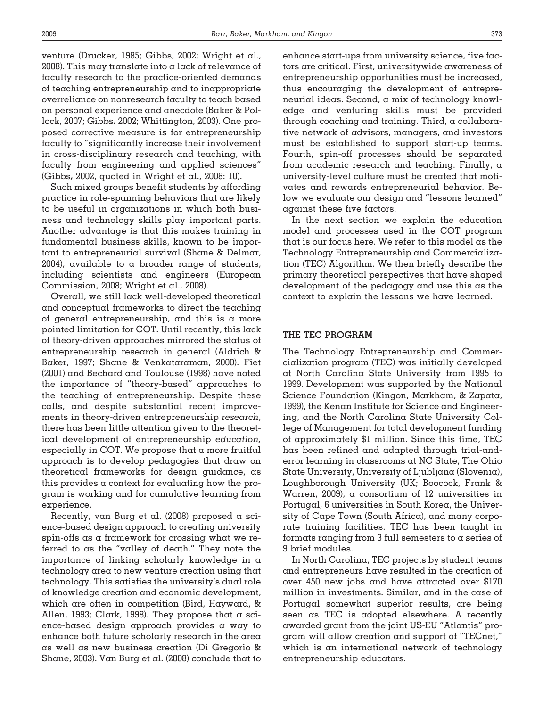venture (Drucker, 1985; Gibbs, 2002; Wright et al., 2008). This may translate into a lack of relevance of faculty research to the practice-oriented demands of teaching entrepreneurship and to inappropriate overreliance on nonresearch faculty to teach based on personal experience and anecdote (Baker & Pollock, 2007; Gibbs**,** 2002; Whittington, 2003). One proposed corrective measure is for entrepreneurship faculty to "significantly increase their involvement in cross-disciplinary research and teaching, with faculty from engineering and applied sciences" (Gibbs**,** 2002, quoted in Wright et al., 2008: 10).

Such mixed groups benefit students by affording practice in role-spanning behaviors that are likely to be useful in organizations in which both business and technology skills play important parts. Another advantage is that this makes training in fundamental business skills, known to be important to entrepreneurial survival (Shane & Delmar, 2004), available to a broader range of students, including scientists and engineers (European Commission, 2008; Wright et al., 2008).

Overall, we still lack well-developed theoretical and conceptual frameworks to direct the teaching of general entrepreneurship, and this is a more pointed limitation for COT. Until recently, this lack of theory-driven approaches mirrored the status of entrepreneurship research in general (Aldrich & Baker, 1997; Shane & Venkataraman, 2000). Fiet (2001) and Bechard and Toulouse (1998) have noted the importance of "theory-based" approaches to the teaching of entrepreneurship. Despite these calls, and despite substantial recent improvements in theory-driven entrepreneurship *research*, there has been little attention given to the theoretical development of entrepreneurship *education,* especially in COT. We propose that a more fruitful approach is to develop pedagogies that draw on theoretical frameworks for design guidance, as this provides a context for evaluating how the program is working and for cumulative learning from experience.

Recently, van Burg et al. (2008) proposed a science-based design approach to creating university spin-offs as a framework for crossing what we referred to as the "valley of death." They note the importance of linking scholarly knowledge in a technology area to new venture creation using that technology. This satisfies the university's dual role of knowledge creation and economic development, which are often in competition (Bird, Hayward, & Allen, 1993; Clark, 1998). They propose that a science-based design approach provides a way to enhance both future scholarly research in the area as well as new business creation (Di Gregorio & Shane, 2003). Van Burg et al. (2008) conclude that to enhance start-ups from university science, five factors are critical. First, universitywide awareness of entrepreneurship opportunities must be increased, thus encouraging the development of entrepreneurial ideas. Second, a mix of technology knowledge and venturing skills must be provided through coaching and training. Third, a collaborative network of advisors, managers, and investors must be established to support start-up teams. Fourth, spin-off processes should be separated from academic research and teaching. Finally, a university-level culture must be created that motivates and rewards entrepreneurial behavior. Below we evaluate our design and "lessons learned" against these five factors.

In the next section we explain the education model and processes used in the COT program that is our focus here. We refer to this model as the Technology Entrepreneurship and Commercialization (TEC) Algorithm. We then briefly describe the primary theoretical perspectives that have shaped development of the pedagogy and use this as the context to explain the lessons we have learned.

# **THE TEC PROGRAM**

The Technology Entrepreneurship and Commercialization program (TEC) was initially developed at North Carolina State University from 1995 to 1999. Development was supported by the National Science Foundation (Kingon, Markham, & Zapata, 1999), the Kenan Institute for Science and Engineering, and the North Carolina State University College of Management for total development funding of approximately \$1 million. Since this time, TEC has been refined and adapted through trial-anderror learning in classrooms at NC State, The Ohio State University, University of Ljubljana (Slovenia), Loughborough University (UK; Boocock, Frank & Warren, 2009), a consortium of 12 universities in Portugal, 6 universities in South Korea, the University of Cape Town (South Africa), and many corporate training facilities. TEC has been taught in formats ranging from 3 full semesters to a series of 9 brief modules.

In North Carolina, TEC projects by student teams and entrepreneurs have resulted in the creation of over 450 new jobs and have attracted over \$170 million in investments. Similar, and in the case of Portugal somewhat superior results, are being seen as TEC is adopted elsewhere. A recently awarded grant from the joint US-EU "Atlantis" program will allow creation and support of "TECnet," which is an international network of technology entrepreneurship educators.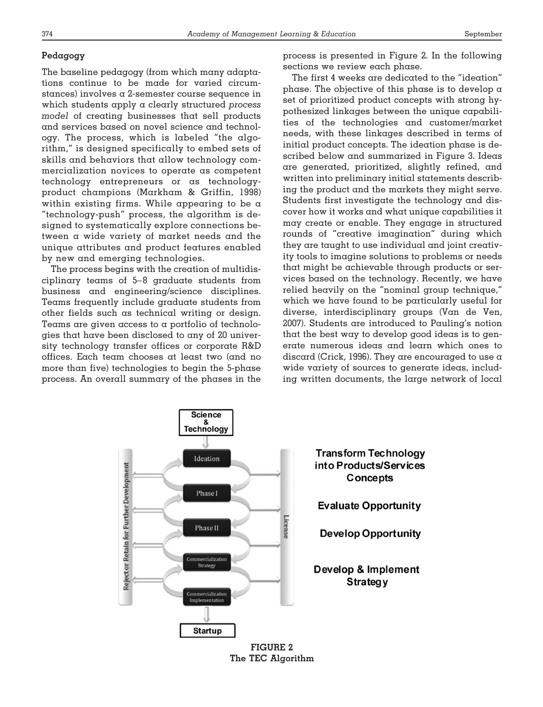# **Pedagogy**

The baseline pedagogy (from which many adaptations continue to be made for varied circumstances) involves a 2-semester course sequence in which students apply a clearly structured *process model* of creating businesses that sell products and services based on novel science and technology. The process, which is labeled "the algorithm," is designed specifically to embed sets of skills and behaviors that allow technology commercialization novices to operate as competent technology entrepreneurs or as technologyproduct champions (Markham & Griffin, 1998) within existing firms. While appearing to be a "technology-push" process, the algorithm is designed to systematically explore connections between a wide variety of market needs and the unique attributes and product features enabled by new and emerging technologies.

The process begins with the creation of multidisciplinary teams of 5– 8 graduate students from business and engineering/science disciplines. Teams frequently include graduate students from other fields such as technical writing or design. Teams are given access to a portfolio of technologies that have been disclosed to any of 20 university technology transfer offices or corporate R&D offices. Each team chooses at least two (and no more than five) technologies to begin the 5-phase process. An overall summary of the phases in the

process is presented in Figure 2. In the following sections we review each phase.

The first 4 weeks are dedicated to the "ideation" phase. The objective of this phase is to develop  $\alpha$ set of prioritized product concepts with strong hypothesized linkages between the unique capabilities of the technologies and customer/market needs, with these linkages described in terms of initial product concepts. The ideation phase is described below and summarized in Figure 3. Ideas are generated, prioritized, slightly refined, and written into preliminary initial statements describing the product and the markets they might serve. Students first investigate the technology and discover how it works and what unique capabilities it may create or enable. They engage in structured rounds of "creative imagination" during which they are taught to use individual and joint creativity tools to imagine solutions to problems or needs that might be achievable through products or services based on the technology. Recently, we have relied heavily on the "nominal group technique," which we have found to be particularly useful for diverse, interdisciplinary groups (Van de Ven, 2007). Students are introduced to Pauling's notion that the best way to develop good ideas is to generate numerous ideas and learn which ones to discard (Crick, 1996). They are encouraged to use a wide variety of sources to generate ideas, including written documents, the large network of local



**The TEC Algorithm**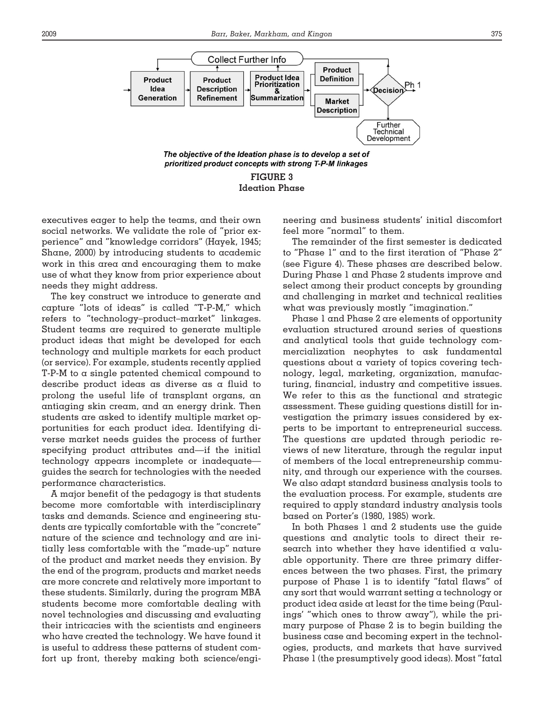

**FIGURE 3 Ideation Phase**

executives eager to help the teams, and their own social networks. We validate the role of "prior experience" and "knowledge corridors" (Hayek, 1945; Shane, 2000) by introducing students to academic work in this area and encouraging them to make use of what they know from prior experience about needs they might address.

The key construct we introduce to generate and capture "lots of ideas" is called "T-P-M," which refers to "technology–product–market" linkages. Student teams are required to generate multiple product ideas that might be developed for each technology and multiple markets for each product (or service). For example, students recently applied T-P-M to a single patented chemical compound to describe product ideas as diverse as a fluid to prolong the useful life of transplant organs, an antiaging skin cream, and an energy drink. Then students are asked to identify multiple market opportunities for each product idea. Identifying diverse market needs guides the process of further specifying product attributes and—if the initial technology appears incomplete or inadequate guides the search for technologies with the needed performance characteristics.

A major benefit of the pedagogy is that students become more comfortable with interdisciplinary tasks and demands. Science and engineering students are typically comfortable with the "concrete" nature of the science and technology and are initially less comfortable with the "made-up" nature of the product and market needs they envision. By the end of the program, products and market needs are more concrete and relatively more important to these students. Similarly, during the program MBA students become more comfortable dealing with novel technologies and discussing and evaluating their intricacies with the scientists and engineers who have created the technology. We have found it is useful to address these patterns of student comfort up front, thereby making both science/engineering and business students' initial discomfort feel more "normal" to them.

The remainder of the first semester is dedicated to "Phase 1" and to the first iteration of "Phase 2" (see Figure 4). These phases are described below. During Phase 1 and Phase 2 students improve and select among their product concepts by grounding and challenging in market and technical realities what was previously mostly "imagination."

Phase 1 and Phase 2 are elements of opportunity evaluation structured around series of questions and analytical tools that guide technology commercialization neophytes to ask fundamental questions about a variety of topics covering technology, legal, marketing, organization, manufacturing, financial, industry and competitive issues. We refer to this as the functional and strategic assessment. These guiding questions distill for investigation the primary issues considered by experts to be important to entrepreneurial success. The questions are updated through periodic reviews of new literature, through the regular input of members of the local entrepreneurship community, and through our experience with the courses. We also adapt standard business analysis tools to the evaluation process. For example, students are required to apply standard industry analysis tools based on Porter's (1980, 1985) work.

In both Phases 1 and 2 students use the guide questions and analytic tools to direct their research into whether they have identified a valuable opportunity. There are three primary differences between the two phases. First, the primary purpose of Phase 1 is to identify "fatal flaws" of any sort that would warrant setting a technology or product idea aside at least for the time being (Paulings' "which ones to throw away"), while the primary purpose of Phase 2 is to begin building the business case and becoming expert in the technologies, products, and markets that have survived Phase 1 (the presumptively good ideas). Most "fatal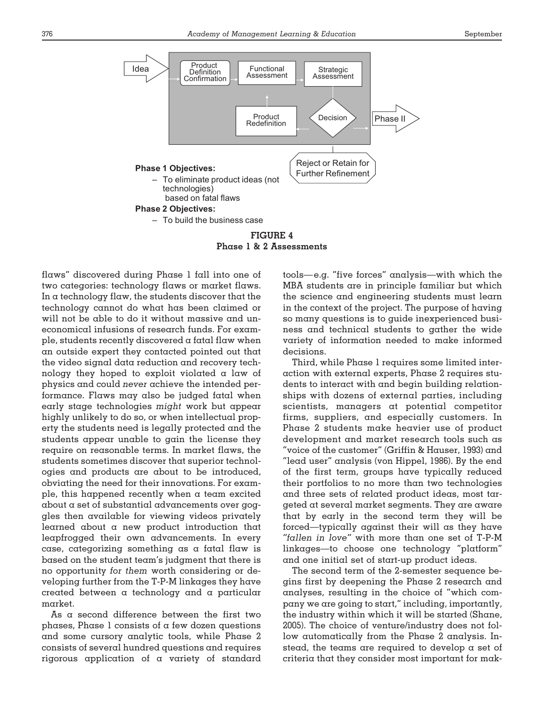

**FIGURE 4 Phase1&2 Assessments**

flaws" discovered during Phase 1 fall into one of two categories: technology flaws or market flaws. In a technology flaw, the students discover that the technology cannot do what has been claimed or will not be able to do it without massive and uneconomical infusions of research funds. For example, students recently discovered a fatal flaw when an outside expert they contacted pointed out that the video signal data reduction and recovery technology they hoped to exploit violated a law of physics and could *never* achieve the intended performance. Flaws may also be judged fatal when early stage technologies *might* work but appear highly unlikely to do so, or when intellectual property the students need is legally protected and the students appear unable to gain the license they require on reasonable terms. In market flaws, the students sometimes discover that superior technologies and products are about to be introduced, obviating the need for their innovations. For example, this happened recently when a team excited about a set of substantial advancements over goggles then available for viewing videos privately learned about a new product introduction that leapfrogged their own advancements. In every case, categorizing something as a fatal flaw is based on the student team's judgment that there is no opportunity *for them* worth considering or developing further from the T-P-M linkages they have created between a technology and a particular market.

As a second difference between the first two phases, Phase 1 consists of a few dozen questions and some cursory analytic tools, while Phase 2 consists of several hundred questions and requires rigorous application of a variety of standard tools— e.g. "five forces" analysis—with which the MBA students are in principle familiar but which the science and engineering students must learn in the context of the project. The purpose of having so many questions is to guide inexperienced business and technical students to gather the wide variety of information needed to make informed decisions.

Third, while Phase 1 requires some limited interaction with external experts, Phase 2 requires students to interact with and begin building relationships with dozens of external parties, including scientists, managers at potential competitor firms, suppliers, and especially customers. In Phase 2 students make heavier use of product development and market research tools such as "voice of the customer" (Griffin & Hauser, 1993) and "lead user" analysis (von Hippel, 1986). By the end of the first term, groups have typically reduced their portfolios to no more than two technologies and three sets of related product ideas, most targeted at several market segments. They are aware that by early in the second term they will be forced—typically against their will as they have *"fallen in love"* with more than one set of T-P-M linkages—to choose one technology "platform" and one initial set of start-up product ideas.

The second term of the 2-semester sequence begins first by deepening the Phase 2 research and analyses, resulting in the choice of "which company we are going to start," including, importantly, the industry within which it will be started (Shane, 2005). The choice of venture/industry does not follow automatically from the Phase 2 analysis. Instead, the teams are required to develop a set of criteria that they consider most important for mak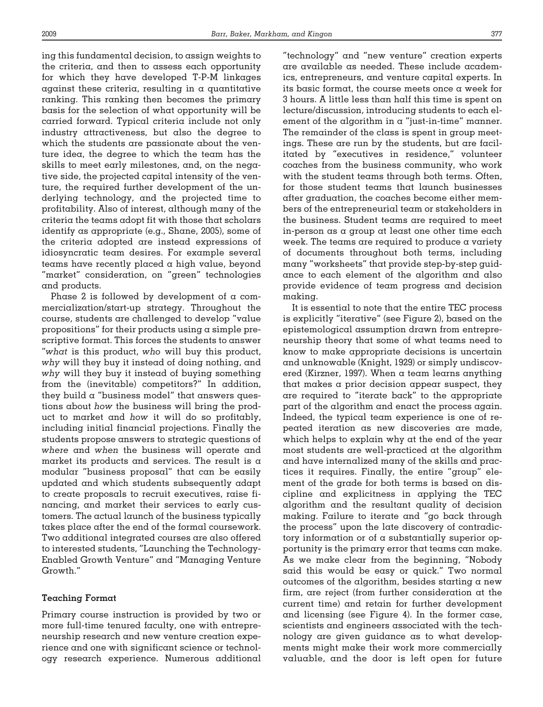ing this fundamental decision, to assign weights to the criteria, and then to assess each opportunity for which they have developed T-P-M linkages against these criteria, resulting in a quantitative ranking. This ranking then becomes the primary basis for the selection of what opportunity will be carried forward. Typical criteria include not only industry attractiveness, but also the degree to which the students are passionate about the venture idea, the degree to which the team has the skills to meet early milestones, and, on the negative side, the projected capital intensity of the venture, the required further development of the underlying technology, and the projected time to profitability. Also of interest, although many of the criteria the teams adopt fit with those that scholars identify as appropriate (e.g., Shane, 2005), some of the criteria adopted are instead expressions of idiosyncratic team desires. For example several teams have recently placed a high value, beyond "market" consideration, on "green" technologies and products.

Phase 2 is followed by development of  $\alpha$  commercialization/start-up strategy. Throughout the course, students are challenged to develop "value propositions" for their products using a simple prescriptive format. This forces the students to answer "*what* is this product, *who* will buy this product, *why* will they buy it instead of doing nothing, and *why* will they buy it instead of buying something from the (inevitable) competitors?" In addition, they build a "business model" that answers questions about *how* the business will bring the product to market and *how* it will do so profitably, including initial financial projections. Finally the students propose answers to strategic questions of *where* and *when* the business will operate and market its products and services. The result is  $\alpha$ modular "business proposal" that can be easily updated and which students subsequently adapt to create proposals to recruit executives, raise financing, and market their services to early customers. The actual launch of the business typically takes place after the end of the formal coursework. Two additional integrated courses are also offered to interested students, "Launching the Technology-Enabled Growth Venture" and "Managing Venture Growth."

# **Teaching Format**

Primary course instruction is provided by two or more full-time tenured faculty, one with entrepreneurship research and new venture creation experience and one with significant science or technology research experience. Numerous additional "technology" and "new venture" creation experts are available as needed. These include academics, entrepreneurs, and venture capital experts. In its basic format, the course meets once a week for 3 hours. A little less than half this time is spent on lecture/discussion, introducing students to each element of the algorithm in  $\alpha$  "just-in-time" manner. The remainder of the class is spent in group meetings. These are run by the students, but are facilitated by "executives in residence," volunteer coaches from the business community, who work with the student teams through both terms. Often, for those student teams that launch businesses after graduation, the coaches become either members of the entrepreneurial team or stakeholders in the business. Student teams are required to meet in-person as a group at least one other time each week. The teams are required to produce a variety of documents throughout both terms, including many "worksheets" that provide step-by-step guidance to each element of the algorithm and also provide evidence of team progress and decision making.

It is essential to note that the entire TEC process is explicitly "iterative" (see Figure 2), based on the epistemological assumption drawn from entrepreneurship theory that some of what teams need to know to make appropriate decisions is uncertain and unknowable (Knight, 1929) or simply undiscovered (Kirzner, 1997). When  $\alpha$  team learns anything that makes a prior decision appear suspect, they are required to "iterate back" to the appropriate part of the algorithm and enact the process again. Indeed, the typical team experience is one of repeated iteration as new discoveries are made, which helps to explain why at the end of the year most students are well-practiced at the algorithm and have internalized many of the skills and practices it requires. Finally, the entire "group" element of the grade for both terms is based on discipline and explicitness in applying the TEC algorithm and the resultant quality of decision making. Failure to iterate and "go back through the process" upon the late discovery of contradictory information or of a substantially superior opportunity is the primary error that teams can make. As we make clear from the beginning, "Nobody said this would be easy or quick." Two normal outcomes of the algorithm, besides starting  $\alpha$  new firm, are reject (from further consideration at the current time) and retain for further development and licensing (see Figure 4). In the former case, scientists and engineers associated with the technology are given guidance as to what developments might make their work more commercially valuable, and the door is left open for future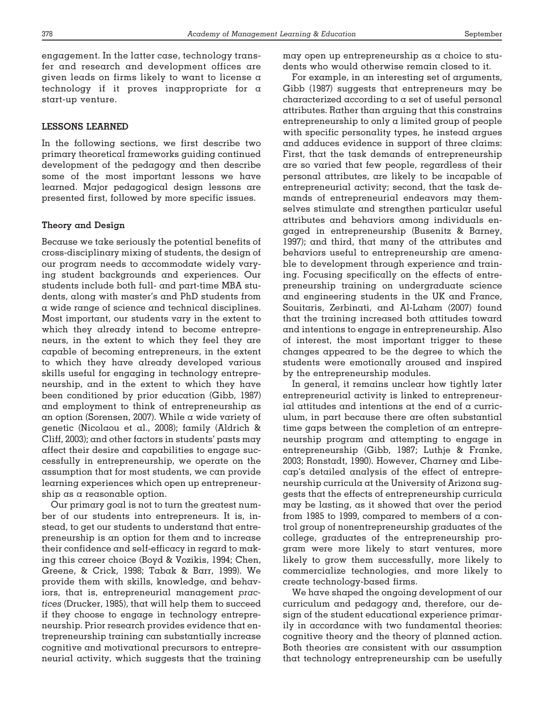engagement. In the latter case, technology transfer and research and development offices are given leads on firms likely to want to license a technology if it proves inappropriate for a start-up venture.

# **LESSONS LEARNED**

In the following sections, we first describe two primary theoretical frameworks guiding continued development of the pedagogy and then describe some of the most important lessons we have learned. Major pedagogical design lessons are presented first, followed by more specific issues.

## **Theory and Design**

Because we take seriously the potential benefits of cross-disciplinary mixing of students, the design of our program needs to accommodate widely varying student backgrounds and experiences. Our students include both full- and part-time MBA students, along with master's and PhD students from a wide range of science and technical disciplines. Most important, our students vary in the extent to which they already intend to become entrepreneurs, in the extent to which they feel they are capable of becoming entrepreneurs, in the extent to which they have already developed various skills useful for engaging in technology entrepreneurship, and in the extent to which they have been conditioned by prior education (Gibb, 1987) and employment to think of entrepreneurship as an option (Sorensen, 2007). While a wide variety of genetic (Nicolaou et al., 2008); family (Aldrich & Cliff, 2003); and other factors in students' pasts may affect their desire and capabilities to engage successfully in entrepreneurship, we operate on the assumption that for most students, we can provide learning experiences which open up entrepreneurship as a reasonable option.

Our primary goal is not to turn the greatest number of our students into entrepreneurs. It is, instead, to get our students to understand that entrepreneurship is an option for them and to increase their confidence and self-efficacy in regard to making this career choice (Boyd & Vozikis, 1994; Chen, Greene, & Crick, 1998; Tabak & Barr, 1999). We provide them with skills, knowledge, and behaviors, that is, entrepreneurial management *practices* (Drucker, 1985), that will help them to succeed if they choose to engage in technology entrepreneurship. Prior research provides evidence that entrepreneurship training can substantially increase cognitive and motivational precursors to entrepreneurial activity, which suggests that the training

may open up entrepreneurship as a choice to students who would otherwise remain closed to it.

For example, in an interesting set of arguments, Gibb (1987) suggests that entrepreneurs may be characterized according to a set of useful personal attributes. Rather than arguing that this constrains entrepreneurship to only a limited group of people with specific personality types, he instead argues and adduces evidence in support of three claims: First, that the task demands of entrepreneurship are so varied that few people, regardless of their personal attributes, are likely to be incapable of entrepreneurial activity; second, that the task demands of entrepreneurial endeavors may themselves stimulate and strengthen particular useful attributes and behaviors among individuals engaged in entrepreneurship (Busenitz & Barney, 1997); and third, that many of the attributes and behaviors useful to entrepreneurship are amenable to development through experience and training. Focusing specifically on the effects of entrepreneurship training on undergraduate science and engineering students in the UK and France, Souitaris, Zerbinati, and Al-Laham (2007) found that the training increased both attitudes toward and intentions to engage in entrepreneurship. Also of interest, the most important trigger to these changes appeared to be the degree to which the students were emotionally aroused and inspired by the entrepreneurship modules.

In general, it remains unclear how tightly later entrepreneurial activity is linked to entrepreneurial attitudes and intentions at the end of a curriculum, in part because there are often substantial time gaps between the completion of an entrepreneurship program and attempting to engage in entrepreneurship (Gibb, 1987; Luthje & Franke, 2003; Ronstadt, 1990). However, Charney and Libecap's detailed analysis of the effect of entrepreneurship curricula at the University of Arizona suggests that the effects of entrepreneurship curricula may be lasting, as it showed that over the period from 1985 to 1999, compared to members of a control group of nonentrepreneurship graduates of the college, graduates of the entrepreneurship program were more likely to start ventures, more likely to grow them successfully, more likely to commercialize technologies, and more likely to create technology-based firms.

We have shaped the ongoing development of our curriculum and pedagogy and, therefore, our design of the student educational experience primarily in accordance with two fundamental theories: cognitive theory and the theory of planned action. Both theories are consistent with our assumption that technology entrepreneurship can be usefully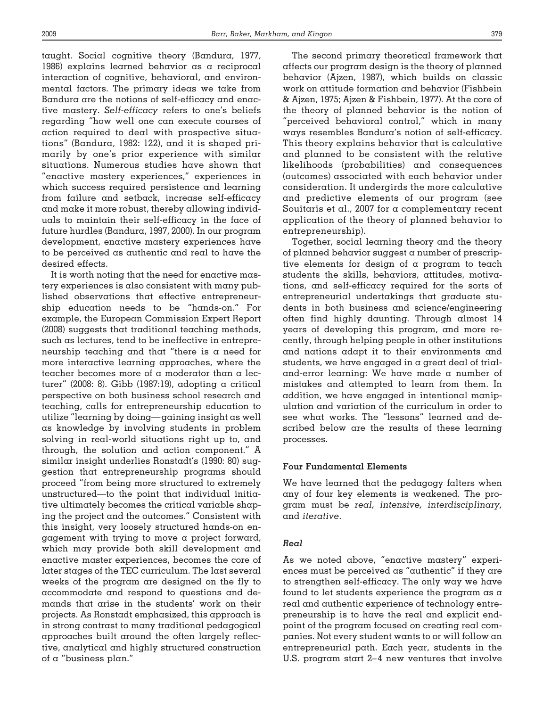taught. Social cognitive theory (Bandura, 1977, 1986) explains learned behavior as a reciprocal interaction of cognitive, behavioral, and environmental factors. The primary ideas we take from Bandura are the notions of self-efficacy and enactive mastery. *Self-efficacy* refers to one's beliefs regarding "how well one can execute courses of action required to deal with prospective situations" (Bandura, 1982: 122), and it is shaped primarily by one's prior experience with similar situations. Numerous studies have shown that "enactive mastery experiences," experiences in which success required persistence and learning from failure and setback, increase self-efficacy and make it more robust, thereby allowing individuals to maintain their self-efficacy in the face of future hurdles (Bandura, 1997, 2000). In our program development, enactive mastery experiences have to be perceived as authentic and real to have the desired effects.

It is worth noting that the need for enactive mastery experiences is also consistent with many published observations that effective entrepreneurship education needs to be "hands-on." For example, the European Commission Expert Report (2008) suggests that traditional teaching methods, such as lectures, tend to be ineffective in entrepreneurship teaching and that "there is a need for more interactive learning approaches, where the teacher becomes more of a moderator than a lecturer" (2008: 8). Gibb (1987:19), adopting a critical perspective on both business school research and teaching, calls for entrepreneurship education to utilize "learning by doing—gaining insight as well as knowledge by involving students in problem solving in real-world situations right up to, and through, the solution and action component." A similar insight underlies Ronstadt's (1990: 80) suggestion that entrepreneurship programs should proceed "from being more structured to extremely unstructured—to the point that individual initiative ultimately becomes the critical variable shaping the project and the outcomes." Consistent with this insight, very loosely structured hands-on engagement with trying to move a project forward, which may provide both skill development and enactive master experiences, becomes the core of later stages of the TEC curriculum. The last several weeks of the program are designed on the fly to accommodate and respond to questions and demands that arise in the students' work on their projects. As Ronstadt emphasized, this approach is in strong contrast to many traditional pedagogical approaches built around the often largely reflective, analytical and highly structured construction of a "business plan."

The second primary theoretical framework that affects our program design is the theory of planned behavior (Ajzen, 1987), which builds on classic work on attitude formation and behavior (Fishbein & Ajzen, 1975; Ajzen & Fishbein, 1977). At the core of the theory of planned behavior is the notion of "perceived behavioral control," which in many ways resembles Bandura's notion of self-efficacy. This theory explains behavior that is calculative and planned to be consistent with the relative likelihoods (probabilities) and consequences (outcomes) associated with each behavior under consideration. It undergirds the more calculative and predictive elements of our program (see Souitaris et al., 2007 for a complementary recent application of the theory of planned behavior to entrepreneurship).

Together, social learning theory and the theory of planned behavior suggest a number of prescriptive elements for design of a program to teach students the skills, behaviors, attitudes, motivations, and self-efficacy required for the sorts of entrepreneurial undertakings that graduate students in both business and science/engineering often find highly daunting. Through almost 14 years of developing this program, and more recently, through helping people in other institutions and nations adapt it to their environments and students, we have engaged in a great deal of trialand-error learning: We have made a number of mistakes and attempted to learn from them. In addition, we have engaged in intentional manipulation and variation of the curriculum in order to see what works. The "lessons" learned and described below are the results of these learning processes.

# **Four Fundamental Elements**

We have learned that the pedagogy falters when any of four key elements is weakened. The program must be *real, intensive, interdisciplinary,* and *iterative*.

# *Real*

As we noted above, "enactive mastery" experiences must be perceived as "authentic" if they are to strengthen self-efficacy. The only way we have found to let students experience the program as a real and authentic experience of technology entrepreneurship is to have the real and explicit endpoint of the program focused on creating real companies. Not every student wants to or will follow an entrepreneurial path. Each year, students in the U.S. program start 2-4 new ventures that involve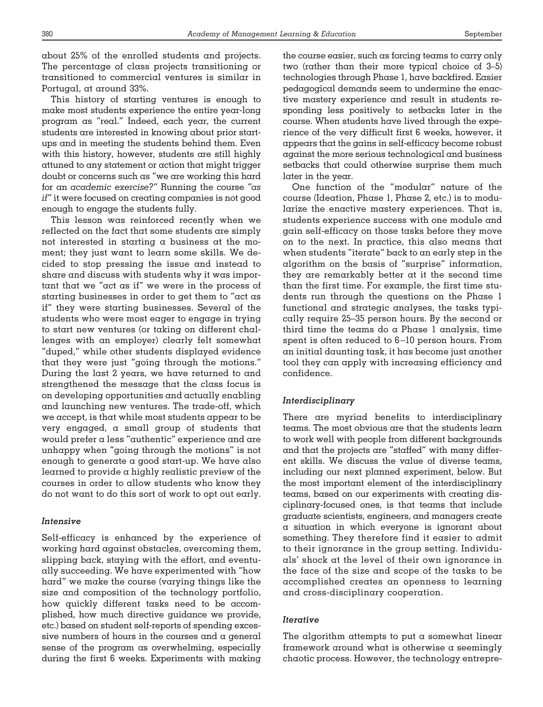about 25% of the enrolled students and projects. The percentage of class projects transitioning or transitioned to commercial ventures is similar in Portugal, at around 33%.

This history of starting ventures is enough to make most students experience the entire year-long program as "real." Indeed, each year, the current students are interested in knowing about prior startups and in meeting the students behind them. Even with this history, however, students are still highly attuned to any statement or action that might trigger doubt or concerns such as "we are working this hard for an *academic exercise?"* Running the course *"as if"* it were focused on creating companies is not good enough to engage the students fully.

This lesson was reinforced recently when we reflected on the fact that some students are simply not interested in starting  $\alpha$  business at the moment; they just want to learn some skills. We decided to stop pressing the issue and instead to share and discuss with students why it was important that we "act as if" we were in the process of starting businesses in order to get them to "act as if" they were starting businesses. Several of the students who were most eager to engage in trying to start new ventures (or taking on different challenges with an employer) clearly felt somewhat "duped," while other students displayed evidence that they were just "going through the motions." During the last 2 years, we have returned to and strengthened the message that the class focus is on developing opportunities and actually enabling and launching new ventures. The trade-off, which we accept, is that while most students appear to be very engaged, a small group of students that would prefer a less "authentic" experience and are unhappy when "going through the motions" is not enough to generate a good start-up. We have also learned to provide a highly realistic preview of the courses in order to allow students who know they do not want to do this sort of work to opt out early.

# *Intensive*

Self-efficacy is enhanced by the experience of working hard against obstacles, overcoming them, slipping back, staying with the effort, and eventually succeeding. We have experimented with "how hard" we make the course (varying things like the size and composition of the technology portfolio, how quickly different tasks need to be accomplished, how much directive guidance we provide, etc.) based on student self-reports of spending excessive numbers of hours in the courses and a general sense of the program as overwhelming, especially during the first 6 weeks. Experiments with making the course easier, such as forcing teams to carry only two (rather than their more typical choice of 3–5) technologies through Phase 1, have backfired. Easier pedagogical demands seem to undermine the enactive mastery experience and result in students responding less positively to setbacks later in the course. When students have lived through the experience of the very difficult first 6 weeks, however, it appears that the gains in self-efficacy become robust against the more serious technological and business setbacks that could otherwise surprise them much later in the year.

One function of the "modular" nature of the course (Ideation, Phase 1, Phase 2, etc.) is to modularize the enactive mastery experiences. That is, students experience success with one module and gain self-efficacy on those tasks before they move on to the next. In practice, this also means that when students "iterate" back to an early step in the algorithm on the basis of "surprise" information, they are remarkably better at it the second time than the first time. For example, the first time students run through the questions on the Phase 1 functional and strategic analyses, the tasks typically require 25–35 person hours. By the second or third time the teams do  $\alpha$  Phase 1 analysis, time spent is often reduced to 6-10 person hours. From an initial daunting task, it has become just another tool they can apply with increasing efficiency and confidence.

# *Interdisciplinary*

There are myriad benefits to interdisciplinary teams. The most obvious are that the students learn to work well with people from different backgrounds and that the projects are "staffed" with many different skills. We discuss the value of diverse teams, including our next planned experiment, below. But the most important element of the interdisciplinary teams, based on our experiments with creating disciplinary-focused ones, is that teams that include graduate scientists, engineers, and managers create a situation in which everyone is ignorant about something. They therefore find it easier to admit to their ignorance in the group setting. Individuals' shock at the level of their own ignorance in the face of the size and scope of the tasks to be accomplished creates an openness to learning and cross-disciplinary cooperation.

# *Iterative*

The algorithm attempts to put a somewhat linear framework around what is otherwise a seemingly chaotic process. However, the technology entrepre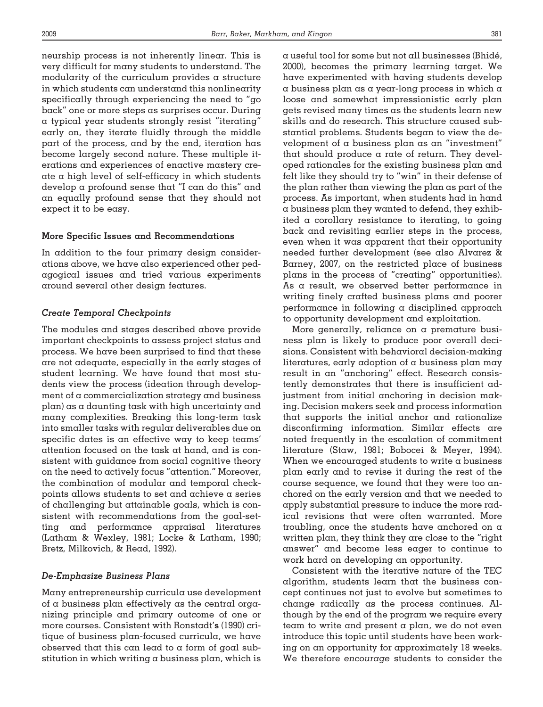neurship process is not inherently linear. This is very difficult for many students to understand. The modularity of the curriculum provides a structure in which students can understand this nonlinearity specifically through experiencing the need to "go back" one or more steps as surprises occur. During a typical year students strongly resist "iterating" early on, they iterate fluidly through the middle part of the process, and by the end, iteration has become largely second nature. These multiple iterations and experiences of enactive mastery create a high level of self-efficacy in which students develop a profound sense that "I can do this" and an equally profound sense that they should not expect it to be easy.

#### **More Specific Issues and Recommendations**

In addition to the four primary design considerations above, we have also experienced other pedagogical issues and tried various experiments around several other design features.

# *Create Temporal Checkpoints*

The modules and stages described above provide important checkpoints to assess project status and process. We have been surprised to find that these are not adequate, especially in the early stages of student learning. We have found that most students view the process (ideation through development of a commercialization strategy and business plan) as a daunting task with high uncertainty and many complexities. Breaking this long-term task into smaller tasks with regular deliverables due on specific dates is an effective way to keep teams' attention focused on the task at hand, and is consistent with guidance from social cognitive theory on the need to actively focus "attention." Moreover, the combination of modular and temporal checkpoints allows students to set and achieve a series of challenging but attainable goals, which is consistent with recommendations from the goal-setting and performance appraisal literatures (Latham & Wexley, 1981; Locke & Latham, 1990; Bretz, Milkovich, & Read, 1992).

#### *De-Emphasize Business Plans*

Many entrepreneurship curricula use development of a business plan effectively as the central organizing principle and primary outcome of one or more courses. Consistent with Ronstadt'**s** (1990) critique of business plan-focused curricula, we have observed that this can lead to a form of goal substitution in which writing a business plan, which is a useful tool for some but not all businesses (Bhide´, 2000), becomes the primary learning target. We have experimented with having students develop a business plan as a year-long process in which a loose and somewhat impressionistic early plan gets revised many times as the students learn new skills and do research. This structure caused substantial problems. Students began to view the development of a business plan as an "investment" that should produce a rate of return. They developed rationales for the existing business plan and felt like they should try to "win" in their defense of the plan rather than viewing the plan as part of the process. As important, when students had in hand a business plan they wanted to defend, they exhibited a corollary resistance to iterating, to going back and revisiting earlier steps in the process, even when it was apparent that their opportunity needed further development (see also Alvarez & Barney, 2007, on the restricted place of business plans in the process of "creating" opportunities). As a result, we observed better performance in writing finely crafted business plans and poorer performance in following a disciplined approach to opportunity development and exploitation.

More generally, reliance on a premature business plan is likely to produce poor overall decisions. Consistent with behavioral decision-making literatures, early adoption of a business plan may result in an "anchoring" effect. Research consistently demonstrates that there is insufficient adjustment from initial anchoring in decision making. Decision makers seek and process information that supports the initial anchor and rationalize disconfirming information. Similar effects are noted frequently in the escalation of commitment literature (Staw, 1981; Bobocei & Meyer, 1994). When we encouraged students to write a business plan early and to revise it during the rest of the course sequence, we found that they were too anchored on the early version and that we needed to apply substantial pressure to induce the more radical revisions that were often warranted. More troubling, once the students have anchored on a written plan, they think they are close to the "right answer" and become less eager to continue to work hard on developing an opportunity.

Consistent with the iterative nature of the TEC algorithm, students learn that the business concept continues not just to evolve but sometimes to change radically as the process continues. Although by the end of the program we require every team to write and present a plan, we do not even introduce this topic until students have been working on an opportunity for approximately 18 weeks. We therefore *encourage* students to consider the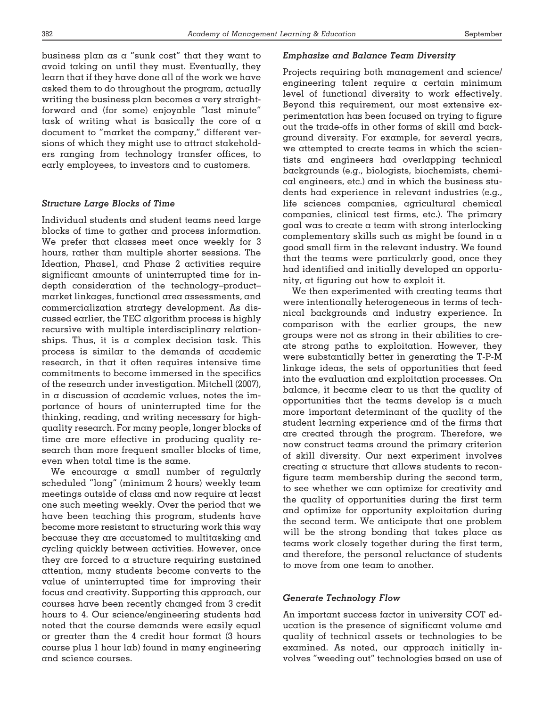business plan as a "sunk cost" that they want to avoid taking on until they must. Eventually, they learn that if they have done all of the work we have asked them to do throughout the program, actually writing the business plan becomes a very straightforward and (for some) enjoyable "last minute" task of writing what is basically the core of a document to "market the company," different versions of which they might use to attract stakeholders ranging from technology transfer offices, to early employees, to investors and to customers.

# *Structure Large Blocks of Time*

Individual students and student teams need large blocks of time to gather and process information. We prefer that classes meet once weekly for 3 hours, rather than multiple shorter sessions. The Ideation, Phase1, and Phase 2 activities require significant amounts of uninterrupted time for indepth consideration of the technology–product– market linkages, functional area assessments, and commercialization strategy development. As discussed earlier, the TEC algorithm process is highly recursive with multiple interdisciplinary relationships. Thus, it is a complex decision task. This process is similar to the demands of academic research, in that it often requires intensive time commitments to become immersed in the specifics of the research under investigation. Mitchell (2007), in a discussion of academic values, notes the importance of hours of uninterrupted time for the thinking, reading, and writing necessary for highquality research. For many people, longer blocks of time are more effective in producing quality research than more frequent smaller blocks of time, even when total time is the same.

We encourage a small number of regularly scheduled "long" (minimum 2 hours) weekly team meetings outside of class and now require at least one such meeting weekly. Over the period that we have been teaching this program, students have become more resistant to structuring work this way because they are accustomed to multitasking and cycling quickly between activities. However, once they are forced to a structure requiring sustained attention, many students become converts to the value of uninterrupted time for improving their focus and creativity. Supporting this approach, our courses have been recently changed from 3 credit hours to 4. Our science/engineering students had noted that the course demands were easily equal or greater than the 4 credit hour format (3 hours course plus 1 hour lab) found in many engineering and science courses.

## *Emphasize and Balance Team Diversity*

Projects requiring both management and science/ engineering talent require a certain minimum level of functional diversity to work effectively. Beyond this requirement, our most extensive experimentation has been focused on trying to figure out the trade-offs in other forms of skill and background diversity. For example, for several years, we attempted to create teams in which the scientists and engineers had overlapping technical backgrounds (e.g., biologists, biochemists, chemical engineers, etc.) and in which the business students had experience in relevant industries (e.g., life sciences companies, agricultural chemical companies, clinical test firms, etc.). The primary goal was to create a team with strong interlocking complementary skills such as might be found in a good small firm in the relevant industry. We found that the teams were particularly good, once they had identified and initially developed an opportunity, at figuring out how to exploit it.

We then experimented with creating teams that were intentionally heterogeneous in terms of technical backgrounds and industry experience. In comparison with the earlier groups, the new groups were not as strong in their abilities to create strong paths to exploitation. However, they were substantially better in generating the T-P-M linkage ideas, the sets of opportunities that feed into the evaluation and exploitation processes. On balance, it became clear to us that the quality of opportunities that the teams develop is a much more important determinant of the quality of the student learning experience and of the firms that are created through the program. Therefore, we now construct teams around the primary criterion of skill diversity. Our next experiment involves creating a structure that allows students to reconfigure team membership during the second term, to see whether we can optimize for creativity and the quality of opportunities during the first term and optimize for opportunity exploitation during the second term. We anticipate that one problem will be the strong bonding that takes place as teams work closely together during the first term, and therefore, the personal reluctance of students to move from one team to another.

## *Generate Technology Flow*

An important success factor in university COT education is the presence of significant volume and quality of technical assets or technologies to be examined. As noted, our approach initially involves "weeding out" technologies based on use of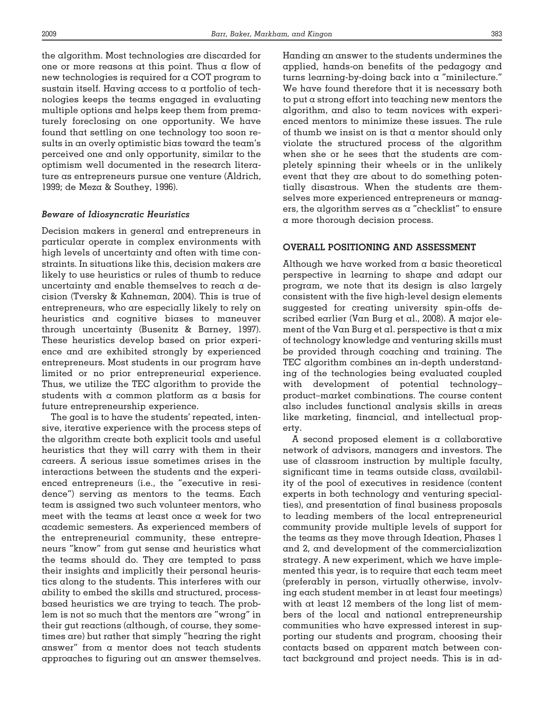the algorithm. Most technologies are discarded for one or more reasons at this point. Thus a flow of new technologies is required for a COT program to sustain itself. Having access to a portfolio of technologies keeps the teams engaged in evaluating multiple options and helps keep them from prematurely foreclosing on one opportunity. We have found that settling on one technology too soon results in an overly optimistic bias toward the team's perceived one and only opportunity, similar to the optimism well documented in the research literature as entrepreneurs pursue one venture (Aldrich, 1999; de Meza & Southey, 1996).

# *Beware of Idiosyncratic Heuristics*

Decision makers in general and entrepreneurs in particular operate in complex environments with high levels of uncertainty and often with time constraints. In situations like this, decision makers are likely to use heuristics or rules of thumb to reduce uncertainty and enable themselves to reach a decision (Tversky & Kahneman, 2004). This is true of entrepreneurs, who are especially likely to rely on heuristics and cognitive biases to maneuver through uncertainty (Busenitz & Barney, 1997). These heuristics develop based on prior experience and are exhibited strongly by experienced entrepreneurs. Most students in our program have limited or no prior entrepreneurial experience. Thus, we utilize the TEC algorithm to provide the students with a common platform as a basis for future entrepreneurship experience.

The goal is to have the students' repeated, intensive, iterative experience with the process steps of the algorithm create both explicit tools and useful heuristics that they will carry with them in their careers. A serious issue sometimes arises in the interactions between the students and the experienced entrepreneurs (i.e., the "executive in residence") serving as mentors to the teams. Each team is assigned two such volunteer mentors, who meet with the teams at least once a week for two academic semesters. As experienced members of the entrepreneurial community, these entrepreneurs "know" from gut sense and heuristics what the teams should do. They are tempted to pass their insights and implicitly their personal heuristics along to the students. This interferes with our ability to embed the skills and structured, processbased heuristics we are trying to teach. The problem is not so much that the mentors are "wrong" in their gut reactions (although, of course, they sometimes are) but rather that simply "hearing the right answer" from a mentor does not teach students approaches to figuring out an answer themselves.

Handing an answer to the students undermines the applied, hands-on benefits of the pedagogy and turns learning-by-doing back into a "minilecture." We have found therefore that it is necessary both to put a strong effort into teaching new mentors the algorithm, and also to team novices with experienced mentors to minimize these issues. The rule of thumb we insist on is that a mentor should only violate the structured process of the algorithm when she or he sees that the students are completely spinning their wheels or in the unlikely event that they are about to do something potentially disastrous. When the students are themselves more experienced entrepreneurs or managers, the algorithm serves as a "checklist" to ensure a more thorough decision process.

## **OVERALL POSITIONING AND ASSESSMENT**

Although we have worked from a basic theoretical perspective in learning to shape and adapt our program, we note that its design is also largely consistent with the five high-level design elements suggested for creating university spin-offs described earlier (Van Burg et al., 2008). A major element of the Van Burg et al. perspective is that a mix of technology knowledge and venturing skills must be provided through coaching and training. The TEC algorithm combines an in-depth understanding of the technologies being evaluated coupled with development of potential technology– product–market combinations. The course content also includes functional analysis skills in areas like marketing, financial, and intellectual property.

A second proposed element is a collaborative network of advisors, managers and investors. The use of classroom instruction by multiple faculty, significant time in teams outside class, availability of the pool of executives in residence (content experts in both technology and venturing specialties), and presentation of final business proposals to leading members of the local entrepreneurial community provide multiple levels of support for the teams as they move through Ideation, Phases 1 and 2, and development of the commercialization strategy. A new experiment, which we have implemented this year, is to require that each team meet (preferably in person, virtually otherwise, involving each student member in at least four meetings) with at least 12 members of the long list of members of the local and national entrepreneurship communities who have expressed interest in supporting our students and program, choosing their contacts based on apparent match between contact background and project needs. This is in ad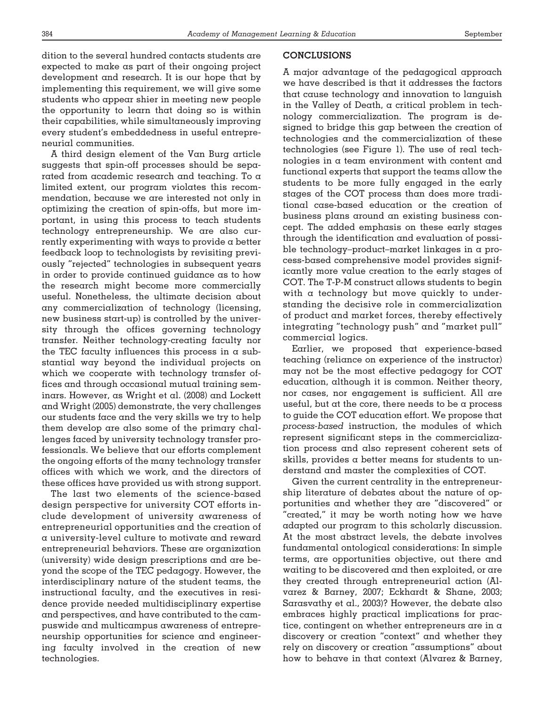dition to the several hundred contacts students are expected to make as part of their ongoing project development and research. It is our hope that by implementing this requirement, we will give some students who appear shier in meeting new people the opportunity to learn that doing so is within their capabilities, while simultaneously improving every student's embeddedness in useful entrepreneurial communities.

A third design element of the Van Burg article suggests that spin-off processes should be separated from academic research and teaching. To a limited extent, our program violates this recommendation, because we are interested not only in optimizing the creation of spin-offs, but more important, in using this process to teach students technology entrepreneurship. We are also currently experimenting with ways to provide a better feedback loop to technologists by revisiting previously "rejected" technologies in subsequent years in order to provide continued guidance as to how the research might become more commercially useful. Nonetheless, the ultimate decision about any commercialization of technology (licensing, new business start-up) is controlled by the university through the offices governing technology transfer. Neither technology-creating faculty nor the TEC faculty influences this process in  $\alpha$  substantial way beyond the individual projects on which we cooperate with technology transfer offices and through occasional mutual training seminars. However, as Wright et al. (2008) and Lockett and Wright (2005) demonstrate, the very challenges our students face and the very skills we try to help them develop are also some of the primary challenges faced by university technology transfer professionals. We believe that our efforts complement the ongoing efforts of the many technology transfer offices with which we work, and the directors of these offices have provided us with strong support.

The last two elements of the science-based design perspective for university COT efforts include development of university awareness of entrepreneurial opportunities and the creation of a university-level culture to motivate and reward entrepreneurial behaviors. These are organization (university) wide design prescriptions and are beyond the scope of the TEC pedagogy. However, the interdisciplinary nature of the student teams, the instructional faculty, and the executives in residence provide needed multidisciplinary expertise and perspectives, and have contributed to the campuswide and multicampus awareness of entrepreneurship opportunities for science and engineering faculty involved in the creation of new technologies.

## **CONCLUSIONS**

A major advantage of the pedagogical approach we have described is that it addresses the factors that cause technology and innovation to languish in the Valley of Death, a critical problem in technology commercialization. The program is designed to bridge this gap between the creation of technologies and the commercialization of these technologies (see Figure 1). The use of real technologies in a team environment with content and functional experts that support the teams allow the students to be more fully engaged in the early stages of the COT process than does more traditional case-based education or the creation of business plans around an existing business concept. The added emphasis on these early stages through the identification and evaluation of possible technology–product–market linkages in a process-based comprehensive model provides significantly more value creation to the early stages of COT. The T-P-M construct allows students to begin with a technology but move quickly to understanding the decisive role in commercialization of product and market forces, thereby effectively integrating "technology push" and "market pull" commercial logics.

Earlier, we proposed that experience-based teaching (reliance on experience of the instructor) may not be the most effective pedagogy for COT education, although it is common. Neither theory, nor cases, nor engagement is sufficient. All are useful, but at the core, there needs to be a process to guide the COT education effort. We propose that *process-based* instruction, the modules of which represent significant steps in the commercialization process and also represent coherent sets of skills, provides  $\alpha$  better means for students to understand and master the complexities of COT.

Given the current centrality in the entrepreneurship literature of debates about the nature of opportunities and whether they are "discovered" or "created," it may be worth noting how we have adapted our program to this scholarly discussion. At the most abstract levels, the debate involves fundamental ontological considerations: In simple terms, are opportunities objective, out there and waiting to be discovered and then exploited, or are they created through entrepreneurial action (Alvarez & Barney, 2007; Eckhardt & Shane, 2003; Sarasvathy et al., 2003)? However, the debate also embraces highly practical implications for practice, contingent on whether entrepreneurs are in a discovery or creation "context" and whether they rely on discovery or creation "assumptions" about how to behave in that context (Alvarez & Barney,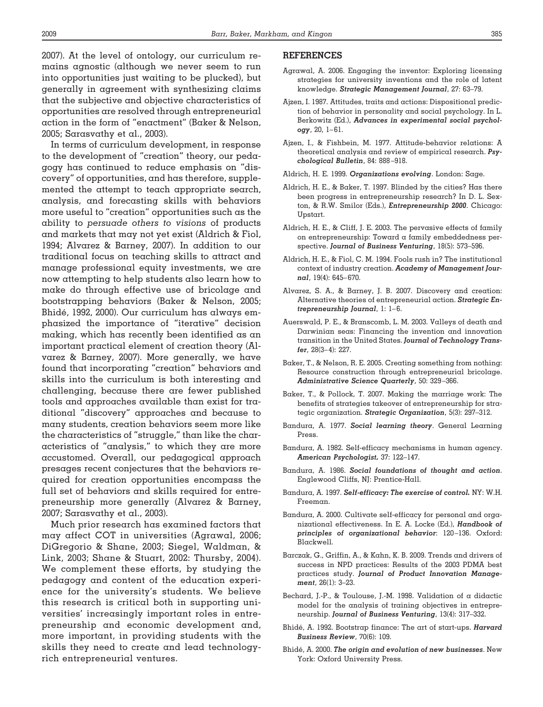2007). At the level of ontology, our curriculum remains agnostic (although we never seem to run into opportunities just waiting to be plucked), but generally in agreement with synthesizing claims that the subjective and objective characteristics of opportunities are resolved through entrepreneurial action in the form of "enactment" (Baker & Nelson, 2005; Sarasvathy et al., 2003).

In terms of curriculum development, in response to the development of "creation" theory, our pedagogy has continued to reduce emphasis on "discovery" of opportunities, and has therefore, supplemented the attempt to teach appropriate search, analysis, and forecasting skills with behaviors more useful to "creation" opportunities such as the ability to *persuade others to visions* of products and markets that may not yet exist (Aldrich & Fiol, 1994; Alvarez & Barney, 2007). In addition to our traditional focus on teaching skills to attract and manage professional equity investments, we are now attempting to help students also learn how to make do through effective use of bricolage and bootstrapping behaviors (Baker & Nelson, 2005; Bhidé, 1992, 2000). Our curriculum has always emphasized the importance of "iterative" decision making, which has recently been identified as an important practical element of creation theory (Alvarez & Barney, 2007). More generally, we have found that incorporating "creation" behaviors and skills into the curriculum is both interesting and challenging, because there are fewer published tools and approaches available than exist for traditional "discovery" approaches and because to many students, creation behaviors seem more like the characteristics of "struggle," than like the characteristics of "analysis," to which they are more accustomed. Overall, our pedagogical approach presages recent conjectures that the behaviors required for creation opportunities encompass the full set of behaviors and skills required for entrepreneurship more generally (Alvarez & Barney, 2007; Sarasvathy et al., 2003).

Much prior research has examined factors that may affect COT in universities (Agrawal, 2006; DiGregorio & Shane, 2003; Siegel, Waldman, & Link, 2003; Shane & Stuart, 2002: Thursby, 2004). We complement these efforts, by studying the pedagogy and content of the education experience for the university's students. We believe this research is critical both in supporting universities' increasingly important roles in entrepreneurship and economic development and, more important, in providing students with the skills they need to create and lead technologyrich entrepreneurial ventures.

## **REFERENCES**

- Agrawal, A. 2006. Engaging the inventor: Exploring licensing strategies for university inventions and the role of latent knowledge. *Strategic Management Journal*, 27: 63–79.
- Ajzen, I. 1987. Attitudes, traits and actions: Dispositional prediction of behavior in personality and social psychology. In L. Berkowitz (Ed.), *Advances in experimental social psychology*, 20, 1– 61.
- Ajzen, I., & Fishbein, M. 1977. Attitude-behavior relations: A theoretical analysis and review of empirical research. *Psychological Bulletin*, 84: 888 –918.
- Aldrich, H. E. 1999. *Organizations evolving*. London: Sage.
- Aldrich, H. E., & Baker, T. 1997. Blinded by the cities? Has there been progress in entrepreneurship research? In D. L. Sexton, & R.W. Smilor (Eds.), *Entrepreneurship 2000*. Chicago: Upstart.
- Aldrich, H. E., & Cliff, J. E. 2003. The pervasive effects of family on entrepreneurship: Toward a family embeddedness perspective. *Journal of Business Venturing*, 18(5): 573–596.
- Aldrich, H. E., & Fiol, C. M. 1994. Fools rush in? The institutional context of industry creation. *Academy of Management Journal*, 19(4): 645– 670.
- Alvarez, S. A., & Barney, J. B. 2007. Discovery and creation: Alternative theories of entrepreneurial action. *Strategic Entrepreneurship Journal*, 1: 1– 6.
- Auerswald, P. E., & Branscomb, L. M. 2003. Valleys of death and Darwinian seas: Financing the invention and innovation transition in the United States. *Journal of Technology Transfer*, 28(3– 4): 227.
- Baker, T., & Nelson, R. E. 2005. Creating something from nothing: Resource construction through entrepreneurial bricolage. *Administrative Science Quarterly*, 50: 329 –366.
- Baker, T., & Pollock, T. 2007. Making the marriage work: The benefits of strategies takeover of entrepreneurship for strategic organization. *Strategic Organization*, 5(3): 297–312.
- Bandura, A. 1977. *Social learning theory*. General Learning Press.
- Bandura, A. 1982. Self-efficacy mechanisms in human agency. *American Psychologist,* 37: 122–147.
- Bandura, A. 1986. *Social foundations of thought and action*. Englewood Cliffs, NJ: Prentice-Hall.
- Bandura, A. 1997. *Self-efficacy: The exercise of control.* NY: W.H. Freeman.
- Bandura, A. 2000. Cultivate self-efficacy for personal and organizational effectiveness. In E. A. Locke (Ed.), *Handbook of principles of organizational behavior*: 120 –136. Oxford: Blackwell.
- Barczak, G., Griffin, A., & Kahn, K. B. 2009. Trends and drivers of success in NPD practices: Results of the 2003 PDMA best practices study. *Journal of Product Innovation Management*, 26(1): 3–23.
- Bechard, J.-P., & Toulouse, J.-M. 1998. Validation of a didactic model for the analysis of training objectives in entrepreneurship. *Journal of Business Venturing*, 13(4): 317–332.
- Bhide´, A. 1992. Bootstrap finance: The art of start-ups. *Harvard Business Review*, 70(6): 109.
- Bhide´, A. 2000. *The origin and evolution of new businesses*. New York: Oxford University Press.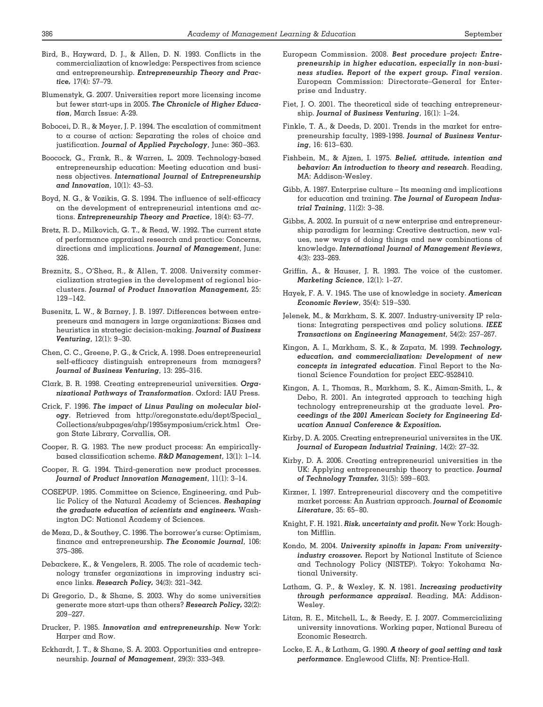- Bird, B., Hayward, D. J., & Allen, D. N. 1993. Conflicts in the commercialization of knowledge: Perspectives from science and entrepreneurship. *Entrepreneurship Theory and Practice,* 17(4): 57–79.
- Blumenstyk, G. 2007. Universities report more licensing income but fewer start-ups in 2005. *The Chronicle of Higher Education*, March Issue: A-29.
- Bobocei, D. R., & Meyer, J. P. 1994. The escalation of commitment to a course of action: Separating the roles of choice and justification. *Journal of Applied Psychology*, June: 360 –363.
- Boocock, G., Frank, R., & Warren, L. 2009. Technology-based entrepreneurship education: Meeting education and business objectives. *International Journal of Entrepreneurship and Innovation*, 10(1): 43–53.
- Boyd, N. G., & Vozikis, G. S. 1994. The influence of self-efficacy on the development of entrepreneurial intentions and actions. *Entrepreneurship Theory and Practice*, 18(4): 63–77.
- Bretz, R. D., Milkovich, G. T., & Read, W. 1992. The current state of performance appraisal research and practice: Concerns, directions and implications. *Journal of Management*, June: 326.
- Breznitz, S., O'Shea, R., & Allen, T. 2008. University commercialization strategies in the development of regional bioclusters. *Journal of Product Innovation Management,* 25: 129 –142.
- Busenitz, L. W., & Barney, J. B. 1997. Differences between entrepreneurs and managers in large organizations: Biases and heuristics in strategic decision-making. *Journal of Business Venturing*, 12(1): 9 –30.
- Chen, C. C., Greene, P. G., & Crick, A. 1998. Does entrepreneurial self-efficacy distinguish entrepreneurs from managers? *Journal of Business Venturing*, 13: 295–316.
- Clark, B. R. 1998. Creating entrepreneurial universities. *Organizational Pathways of Transformation*. Oxford: IAU Press.
- Crick, F. 1996. *The impact of Linus Pauling on molecular biology*. Retrieved from http://oregonstate.edu/dept/Special\_ Collections/subpages/ahp/1995symposium/crick.html Oregon State Library, Corvallis, OR.
- Cooper, R. G. 1983. The new product process: An empiricallybased classification scheme. *R&D Management*, 13(1): 1–14.
- Cooper, R. G. 1994. Third-generation new product processes. *Journal of Product Innovation Management*, 11(1): 3–14.
- COSEPUP. 1995. Committee on Science, Engineering, and Public Policy of the Natural Academy of Sciences. *Reshaping the graduate education of scientists and engineers.* Washington DC: National Academy of Sciences.
- de Meza, D., & Southey, C. 1996. The borrower's curse: Optimism, finance and entrepreneurship. *The Economic Journal*, 106: 375–386.
- Debackere, K., & Vengelers, R. 2005. The role of academic technology transfer organizations in improving industry science links. *Research Policy,* 34(3): 321–342.
- Di Gregorio, D., & Shane, S. 2003. Why do some universities generate more start-ups than others? *Research Policy,* 32(2): 209 –227.
- Drucker, P. 1985. *Innovation and entrepreneurship*. New York: Harper and Row.
- Eckhardt, J. T., & Shane, S. A. 2003. Opportunities and entrepreneurship. *Journal of Management*, 29(3): 333–349.
- European Commission. 2008. *Best procedure project: Entrepreneurship in higher education, especially in non-business studies. Report of the expert group. Final version*. European Commission: Directorate–General for Enterprise and Industry.
- Fiet, J. O. 2001. The theoretical side of teaching entrepreneurship. *Journal of Business Venturing*, 16(1): 1–24.
- Finkle, T. A., & Deeds, D. 2001. Trends in the market for entrepreneurship faculty, 1989-1998. *Journal of Business Venturing*, 16: 613– 630.
- Fishbein, M., & Ajzen, I. 1975. *Belief, attitude, intention and behavior: An introduction to theory and research*. Reading, MA: Addison-Wesley.
- Gibb, A. 1987. Enterprise culture Its meaning and implications for education and training. *The Journal of European Industrial Training*, 11(2): 3–38.
- Gibbs, A. 2002. In pursuit of a new enterprise and entrepreneurship paradigm for learning: Creative destruction, new values, new ways of doing things and new combinations of knowledge. *International Journal of Management Reviews*, 4(3): 233–269.
- Griffin, A., & Hauser, J. R. 1993. The voice of the customer. *Marketing Science*, 12(1): 1–27.
- Hayek, F. A. V. 1945. The use of knowledge in society. *American Economic Review*, 35(4): 519 –530.
- Jelenek, M., & Markham, S. K. 2007. Industry-university IP relations: Integrating perspectives and policy solutions. *IEEE Transactions on Engineering Management*, 54(2): 257–267.
- Kingon, A. I., Markham, S. K., & Zapata, M. 1999. *Technology, education, and commercialization: Development of new concepts in integrated education*. Final Report to the National Science Foundation for project EEC-9528410.
- Kingon, A. I., Thomas, R., Markham, S. K., Aiman-Smith, L., & Debo, R. 2001. An integrated approach to teaching high technology entrepreneurship at the graduate level. *Proceedings of the 2001 American Society for Engineering Education Annual Conference & Exposition.*
- Kirby, D. A. 2005. Creating entrepreneurial universites in the UK. *Journal of European Industrial Training*, 14(2): 27–32.
- Kirby, D. A. 2006. Creating entrepreneurial universities in the UK: Applying entrepreneurship theory to practice. *Journal of Technology Transfer,* 31(5): 599 – 603.
- Kirzner, I. 1997. Entrepreneurial discovery and the competitive market porcess: An Austrian approach. *Journal of Economic Literature*, 35: 65– 80.
- Knight, F. H. 1921. *Risk, uncertainty and profit.* New York: Houghton Mifflin.
- Kondo, M. 2004. *University spinoffs in Japan: From universityindustry crossover.* Report by National Institute of Science and Technology Policy (NISTEP). Tokyo: Yokohama National University.
- Latham, G. P., & Wexley, K. N. 1981. *Increasing productivity through performance appraisal*. Reading, MA: Addison-Wesley.
- Litan, R. E., Mitchell, L., & Reedy, E. J. 2007. Commercializing university innovations. Working paper, National Bureau of Economic Research.
- Locke, E. A., & Latham, G. 1990. *A theory of goal setting and task performance*. Englewood Cliffs, NJ: Prentice-Hall.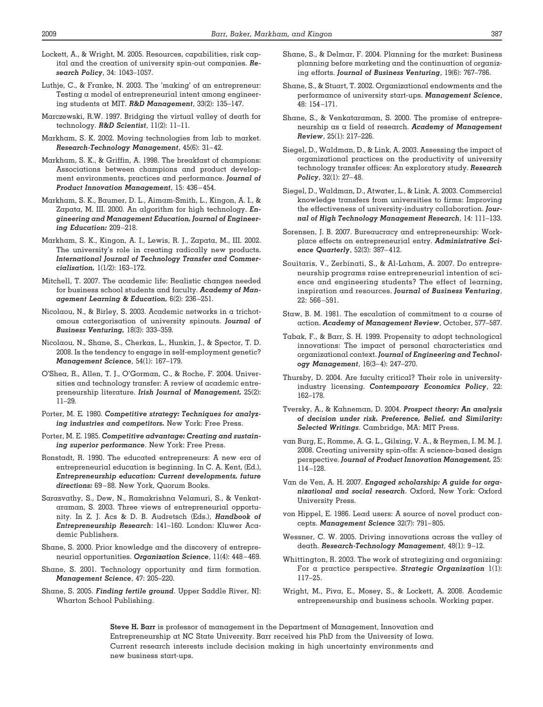- Lockett, A., & Wright, M. 2005. Resources, capabilities, risk capital and the creation of university spin-out companies. *Research Policy*, 34: 1043–1057.
- Luthje, C., & Franke, N. 2003. The 'making' of an entrepreneur: Testing a model of entrepreneurial intent among engineering students at MIT. *R&D Management*, 33(2): 135–147.
- Marczewski, R.W. 1997. Bridging the virtual valley of death for technology. *R&D Scientist*, 11(2): 11–11.
- Markham, S. K. 2002. Moving technologies from lab to market. *Research-Technology Management*, 45(6): 31– 42.
- Markham, S. K., & Griffin, A. 1998. The breakfast of champions: Associations between champions and product development environments, practices and performance. *Journal of Product Innovation Management*, 15: 436 – 454.
- Markham, S. K., Baumer, D. L., Aimam-Smith, L., Kingon, A. I., & Zapata, M. III. 2000. An algorithm for high technology. *Engineering and Management Education, Journal of Engineering Education:* 209 –218.
- Markham, S. K., Kingon, A. I., Lewis, R. J., Zapata, M., III. 2002. The university's role in creating radically new products. *International Journal of Technology Transfer and Commercialisation,* 1(1/2): 163–172.
- Mitchell, T. 2007. The academic life: Realistic changes needed for business school students and faculty. *Academy of Management Learning & Education,* 6(2): 236 –251.
- Nicolaou, N., & Birley, S. 2003. Academic networks in a trichotomous catergorisation of university spinouts. *Journal of Business Venturing,* 18(3): 333–359.
- Nicolaou, N., Shane, S., Cherkas, L., Hunkin, J., & Spector, T. D. 2008. Is the tendency to engage in self-employment genetic? *Management Science*, 54(1): 167–179.
- O'Shea, R., Allen, T. J., O'Gorman, C., & Roche, F. 2004. Universities and technology transfer: A review of academic entrepreneurship literature. *Irish Journal of Management,* 25(2): 11–29.
- Porter, M. E. 1980. *Competitive strategy: Techniques for analyzing industries and competitors.* New York: Free Press.
- Porter, M. E. 1985. *Competitive advantage: Creating and sustaining superior performance*. New York: Free Press.
- Ronstadt, R. 1990. The educated entrepreneurs: A new era of entrepreneurial education is beginning. In C. A. Kent, (Ed.), *Entrepreneurship education: Current developments, future directions:* 69 – 88. New York, Quorum Books.
- Sarasvathy, S., Dew, N., Ramakrishna Velamuri, S., & Venkataraman, S. 2003. Three views of entrepreneurial opportunity. In Z. J. Acs & D. B. Audretsch (Eds.), *Handbook of Entrepreneurship Research*: 141–160. London: Kluwer Academic Publishers.
- Shane, S. 2000. Prior knowledge and the discovery of entrepreneurial opportunities. *Organization Science*, 11(4): 448 – 469.
- Shane, S. 2001. Technology opportunity and firm formation. *Management Science*, 47: 205–220.
- Shane, S. 2005. *Finding fertile ground*. Upper Saddle River, NJ: Wharton School Publishing.
- Shane, S., & Delmar, F. 2004. Planning for the market: Business planning before marketing and the continuation of organizing efforts. *Journal of Business Venturing*, 19(6): 767–786.
- Shane, S., & Stuart, T. 2002. Organizational endowments and the performance of university start-ups. *Management Science*, 48: 154 –171.
- Shane, S., & Venkataraman, S. 2000. The promise of entrepreneurship as a field of research. *Academy of Management Review*, 25(1): 217–226.
- Siegel, D., Waldman, D., & Link, A. 2003. Assessing the impact of organizational practices on the productivity of university technology transfer offices: An exploratory study. *Research Policy*, 32(1): 27– 48.
- Siegel, D., Waldman, D., Atwater, L., & Link, A. 2003. Commercial knowledge transfers from universities to firms: Improving the effectiveness of university-industry collaboration. *Journal of High Technology Management Research*, 14: 111–133.
- Sorensen, J. B. 2007. Bureaucracy and entrepreneurship: Workplace effects on entrepreneurial entry. *Administrative Science Quarterly*, 52(3): 387– 412.
- Souitaris, V., Zerbinati, S., & Al-Laham, A. 2007. Do entrepreneurship programs raise entrepreneurial intention of science and engineering students? The effect of learning, inspiration and resources. *Journal of Business Venturing*, 22: 566 –591.
- Staw, B. M. 1981. The escalation of commitment to a course of action. *Academy of Management Review*, October, 577–587.
- Tabak, F., & Barr, S. H. 1999. Propensity to adopt technological innovations: The impact of personal characteristics and organizational context. *Journal of Engineering and Technology Management*, 16(3– 4): 247–270.
- Thursby, D. 2004. Are faculty critical? Their role in universityindustry licensing. *Contemporary Economics Policy*, 22: 162–178.
- Tversky, A., & Kahneman, D. 2004. *Prospect theory: An analysis of decision under risk. Preference, Belief, and Similarity: Selected Writings*. Cambridge, MA: MIT Press.
- van Burg, E., Romme, A. G. L., Gilsing, V. A., & Reymen, I. M. M. J. 2008. Creating university spin-offs: A science-based design perspective. *Journal of Product Innovation Management,* 25: 114 –128.
- Van de Ven, A. H. 2007. *Engaged scholarship: A guide for organizational and social research*. Oxford, New York: Oxford University Press.
- von Hippel, E. 1986. Lead users: A source of novel product concepts. *Management Science* 32(7): 791– 805.
- Wessner, C. W. 2005. Driving innovations across the valley of death. *Research-Technology Management*, 48(1): 9 –12.
- Whittington, R. 2003. The work of strategizing and organizing: For a practice perspective. *Strategic Organization* 1(1): 117–25.
- Wright, M., Piva, E., Mosey, S., & Lockett, A. 2008. Academic entrepreneurship and business schools. Working paper.

**Steve H. Barr** is professor of management in the Department of Management, Innovation and Entrepreneurship at NC State University. Barr received his PhD from the University of Iowa. Current research interests include decision making in high uncertainty environments and new business start-ups.